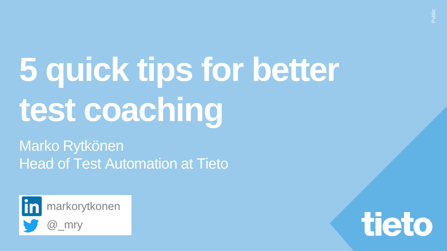## **5 quick tips for better test coaching**

Marko Rytkönen Head of Test Automation at Tieto



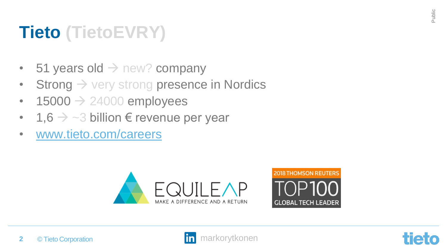## **Tieto (TietoEVRY)**

- 51 years old  $\rightarrow$  new? company
- Strong  $\rightarrow$  very strong presence in Nordics
- 15000  $\rightarrow$  24000 employees
- 1,6  $\rightarrow$  ~3 billion  $\epsilon$  revenue per year
- [www.tieto.com/careers](http://www.tieto.com/careers)









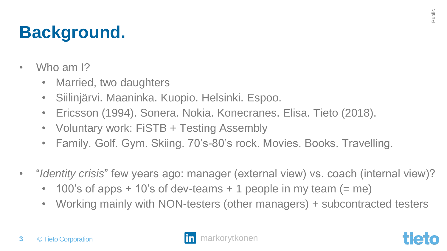#### **Background.**

- Who am 1?
	- Married, two daughters
	- Siilinjärvi. Maaninka. Kuopio. Helsinki. Espoo.
	- Ericsson (1994). Sonera. Nokia. Konecranes. Elisa. Tieto (2018).
	- Voluntary work: FiSTB + Testing Assembly
	- Family. Golf. Gym. Skiing. 70's-80's rock. Movies. Books. Travelling.
- "*Identity crisis*" few years ago: manager (external view) vs. coach (internal view)?
	- 100's of apps  $+$  10's of dev-teams  $+$  1 people in my team (= me)
	- Working mainly with NON-testers (other managers) + subcontracted testers



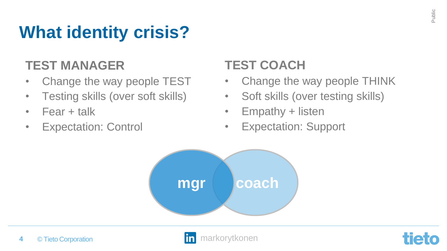## **What identity crisis?**

#### **TEST MANAGER**

- Change the way people TEST
- Testing skills (over soft skills)
- Fear + talk
- Expectation: Control

#### **TEST COACH**

- Change the way people THINK
- Soft skills (over testing skills)
- Empathy + listen
- Expectation: Support





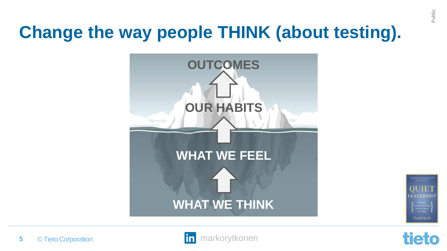#### **Change the way people THINK (about testing).**





**tieto** 

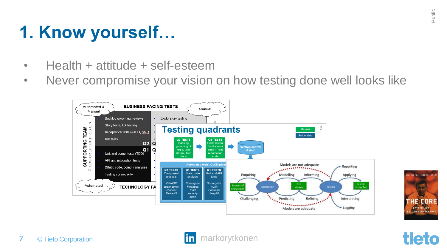## **1. Know yourself…**

- Health + attitude + self-esteem
- Never compromise your vision on how testing done well looks like







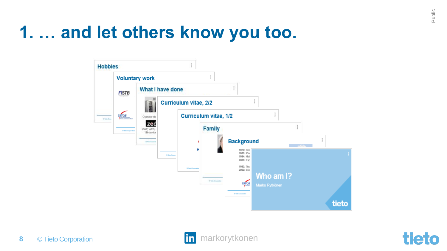#### 1. ... and let others know you too.



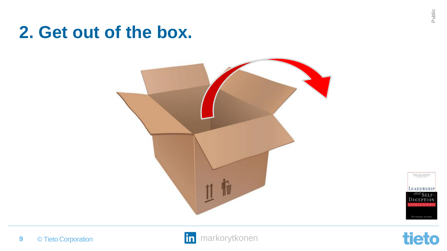#### 2. Get out of the box.





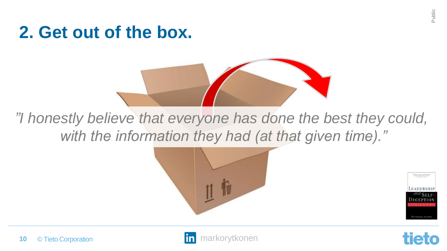#### **2. Get out of the box.**



*"I honestly believe that everyone has done the best they could, with the information they had (at that given time)."*



markorytkonen





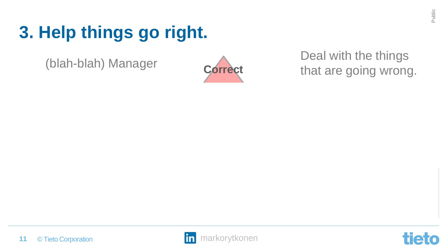## **3. Help things go right.**

(blah-blah) Manager



Deal with the things that are going wrong.





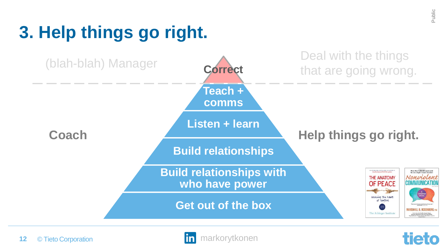tieto

## **3. Help things go right.**



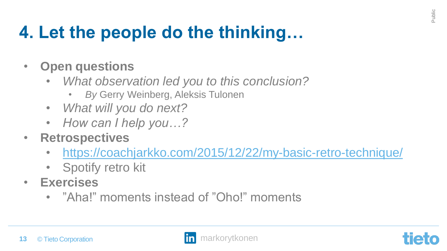#### **4. Let the people do the thinking…**

#### • **Open questions**

- *What observation led you to this conclusion?*
	- *By* Gerry Weinberg, Aleksis Tulonen
- *What will you do next?*
- *How can I help you…?*
- **Retrospectives**
	- <https://coachjarkko.com/2015/12/22/my-basic-retro-technique/>
	- Spotify retro kit
- **Exercises**
	- "Aha!" moments instead of "Oho!" moments



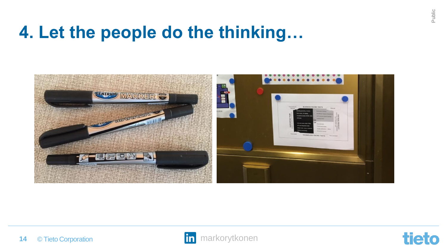#### 4. Let the people do the thinking...





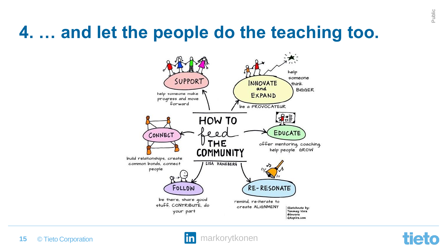#### 4. ... and let the people do the teaching too.





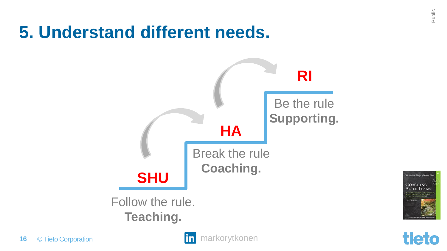#### **5. Understand different needs.**







COACHING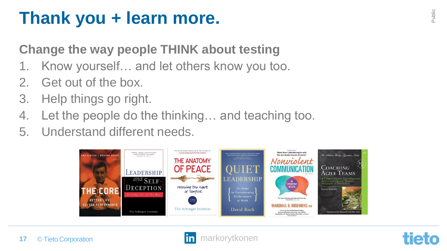#### **Thank you + learn more.**

#### **Change the way people THINK about testing**

- 1. Know yourself… and let others know you too.
- 2. Get out of the box.
- 3. Help things go right.
- 4. Let the people do the thinking… and teaching too.
- 5. Understand different needs.